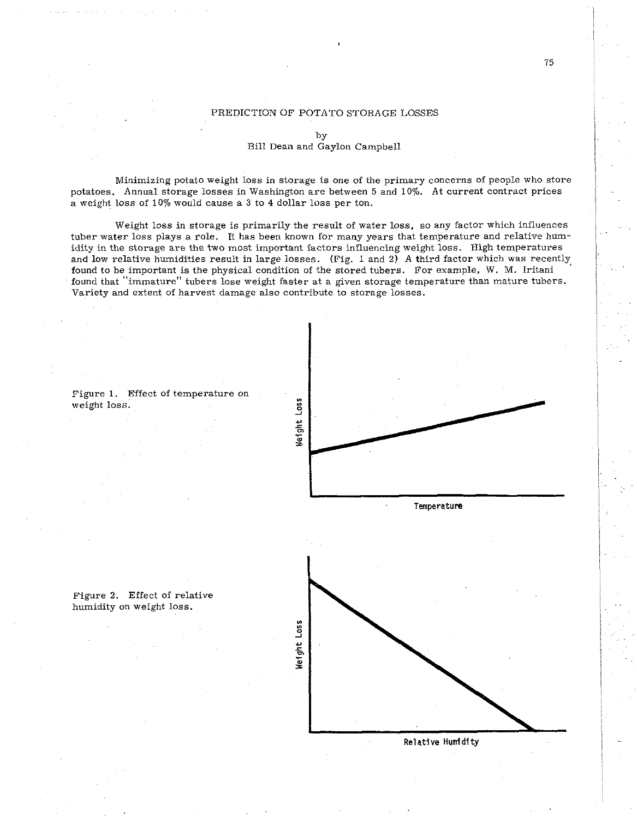## PREDICTION OF POTATO STORAGE LOSSES

Minimizing potato weight loss in storage is one of the primary concerns of people who store potatoes. Annual storage losses in Washington are between 5 and 10%. At current contract prices a weight loss of 10% would cause a **3** to 4 dollar loss per ton.

Weight loss in storage is primarily the result of water loss, so any factor which influences tuber water loss plays a role. It has been known for many years that temperature and relative humidity in the storage are the two most important factors influencing weight loss. High temperatures and low relative humidities result in large losses. (Fig. 1 and 2) A third factor which was recently found to be important is the physical condition of the stored tubers. For example, W. M. Iritani found that "immature" tubers lose weight faster at a given storage temperature than mature tubers. Variety and extent of harvest damage also contribute to storage losses.



Figure **1.** Effect of temperature on weight loss.

humidity on weight loss.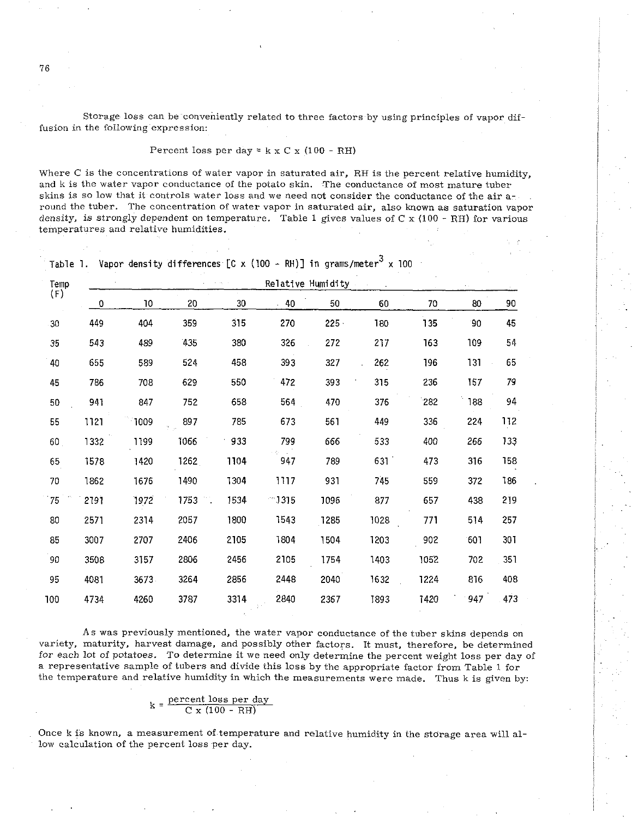Storage loss can be conveniently related to three factors by using principles of vapor diffusion in the following expression:

Percent loss per day =  $k \times C \times (100 - RH)$ 

Where C is the concentrations of water vapor in saturated air, RH is the percent relative humidity, and k is the water vapor conductance of the potato skin. The conductance of most mature tuber skins is so low that it controls water loss and we need not consider the conductance of the air around the tuber. The concentration of water vapor in saturated air, also known as saturation vapor density, is strongly dependent on temperature. Table 1 gives values of  $C \times (100 - RH)$  for various temperatures and relative humidities.

|  |  |  |  |  |  |  |  | Table 1. Vapor density differences $[C \times (100 - RH)]$ in grams/meter <sup>3</sup> x 100 |  |  |  |
|--|--|--|--|--|--|--|--|----------------------------------------------------------------------------------------------|--|--|--|
|--|--|--|--|--|--|--|--|----------------------------------------------------------------------------------------------|--|--|--|

| Temp<br>(F) |      |      |            | $\alpha = \alpha_1 + \beta$ | Relative Humidity |         |      |      | $\mathbf{t} \rightarrow \mathbf{0}$ |     |
|-------------|------|------|------------|-----------------------------|-------------------|---------|------|------|-------------------------------------|-----|
|             | 0    | 10   | 20         | 30                          | 40                | 50      | 60   | 70   | 80                                  | 90  |
| 30          | 449  | 404  | 359        | 315                         | 270               | $225 -$ | 180  | 135  | 90                                  | 45  |
| 35          | 543  | 489  | 435        | 380                         | 326               | 272     | 217  | 163  | 109                                 | 54  |
| 40          | 655  | 589  | 524        | 458                         | 393               | 327     | 262  | 196  | 131                                 | 65  |
| 45          | 786  | 708  | 629        | 550                         | 472               | 393     | 315  | 236  | 157                                 | 79  |
| 50          | 941  | 847  | 752        | 658                         | 564               | 470     | 376  | 282  | 188                                 | 94  |
| 55          | 1121 | 1009 | 897        | 785                         | 673               | 561     | 449  | 336  | 224                                 | 112 |
| 60          | 1332 | 1199 | 1066       | 933                         | 799               | 666     | 533  | 400  | 266                                 | 133 |
| 65          | 1578 | 1420 | 1262       | 1104                        | 947               | 789     | 631  | 473  | 316                                 | 158 |
| 70          | 1862 | 1676 | 1490       | 1304                        | 1117              | 931     | 745  | 559  | 372                                 | 186 |
| 75          | 2191 | 1972 | 11<br>1753 | 1534                        | - 1315            | 1096    | 877  | 657  | 438                                 | 219 |
| 80          | 2571 | 2314 | 2057       | 1800                        | 1543              | 1285    | 1028 | 771  | 514                                 | 257 |
| 85          | 3007 | 2707 | 2406       | 2105                        | 1804              | 1504    | 1203 | 902  | 601                                 | 301 |
| 90          | 3508 | 3157 | 2806       | 2456                        | 2105              | 1754    | 1403 | 1052 | 702                                 | 351 |
| 95          | 4081 | 3673 | 3264       | 2856                        | 2448              | 2040    | 1632 | 1224 | 816                                 | 408 |
| 100         | 4734 | 4260 | 3787       | 3314                        | 2840              | 2367    | 1893 | 1420 | 947                                 | 473 |

As was previously mentioned, the water vapor conductance of the tuber skins depends on variety, maturity, harvest damage, and possibly other factors. It must, therefore, be determined for each lot of potatoes. To determine it we need only determine the percent weight loss per day of a representative sample of tubers and divide this loss by the appropriate factor from Table 1 for the temperature and relative humidity in which the measurements were made. Thus k is given by:

$$
k = \frac{\text{percent loss per day}}{C x (100 - RH)}
$$

Once k is known, a measurement of temperature and relative humidity in the storage area will allow calculation of the percent loss per day.

76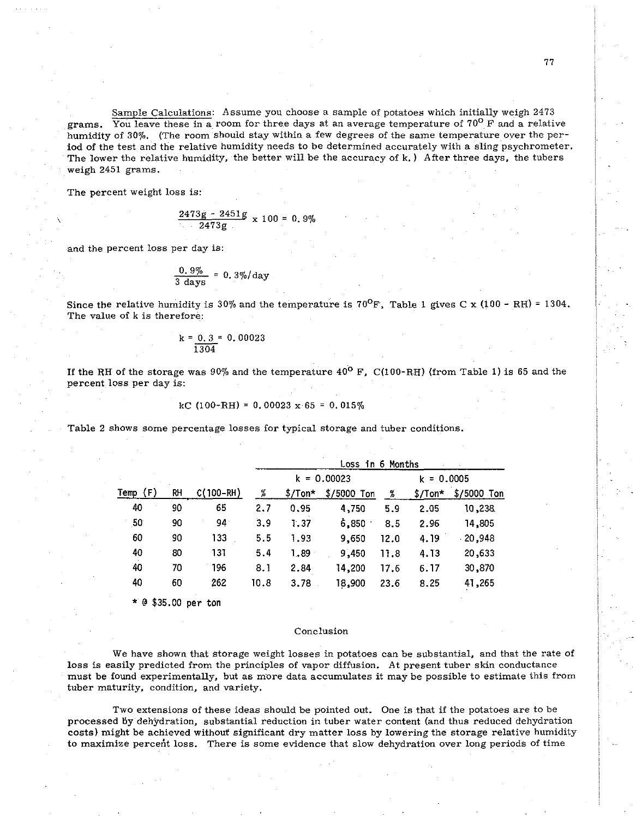Sample Calculations: Assume you choose a sample of potatoes which initially weigh 2473 grams. You leave these in a room for three days at an average temperature of  $70^{\circ}$  F and a relative humidity of 30%. (The room should stay within a few degrees of the same temperature over the period of the test and the relative humidity needs to be determined accurately with a sling psychrometer. The lower the relative humidity, the better will be the accuracy of k.) After three days, the tubers weigh 2451 grams.

The percent weight loss is:

$$
\frac{2473g - 2451g}{2473g} \times 100 = 0.9\%
$$

and the percent loss per day is:

$$
\frac{0.9\%}{3 \text{ days}} = 0.3\% / \text{day}
$$

Since the relative humidity is 30% and the temperature is 70<sup>o</sup>F, Table 1 gives C x (100 - RH) = 1304. The value of k is therefore:

$$
k = \frac{0.3}{1304} = 0.00023
$$

If the RH of the storage was 90% and the temperature  $40^{\circ}$  F, C(100-RH) (from Table 1) is 65 and the percent loss per day is:

$$
kC (100-RH) = 0.00023 \times 65 = 0.015\%
$$

Table 2 shows some percentage losses for typical storage and tuber conditions.

|         |    | $C(100 - RH)$ | Loss in 6 Months |           |               |      |              |             |  |  |
|---------|----|---------------|------------------|-----------|---------------|------|--------------|-------------|--|--|
| Temp(F) |    |               |                  |           | $k = 0.00023$ |      | $k = 0.0005$ |             |  |  |
|         | RН |               | $\%$             | $$/ Ton*$ | $$/5000$ Ton  | %    | $$/ Ton*$    | \$/5000 Ton |  |  |
| 40      | 90 | 65            | 2.7              | 0.95      | 4,750         | 5.9  | 2.05         | 10,238      |  |  |
| 50      | 90 | 941           | 3.9              | 1.37      | 6,850         | 8.5  | 2.96         | 14,805      |  |  |
| 60      | 90 | 133           | 5.5              | 1.93      | 9,650         | 12.0 | 4.19         | $-20,948$   |  |  |
| 40      | 80 | 131           | 5.4              | 1.89      | 9,450         | 11.8 | 4.13         | 20,633      |  |  |
| 40      | 70 | 196           | 8.1              | 2.84      | 14,200        | 17.6 | 6.17         | 30,870      |  |  |
| 40      | 60 | 262           | 10.8             | 3.78      | 18,900        | 23.6 | 8.25         | 41,265      |  |  |

\* @ \$35.00 **per** ton

## Conclusion

We have shown that storage weight losses in potatoes can be substantial, and that the rate of loss is easily predicted from the principles of vapor diffusion. At present tuber skin conductance must be found experimentally, but as more data accumulates it may be possible to estimate this from tuber maturity, condition, and variety.

Two extensions of these ideas should be pointed out. One is that if the potatoes are to be processed 6y dehydration, substantial reduction in tuber water content (and thus reduced dehydration costs) might be achieved without significant dry matter loss by lowering the storage relative humidity to maximize percent loss. There is some evidence that slow dehydration over long periods of time